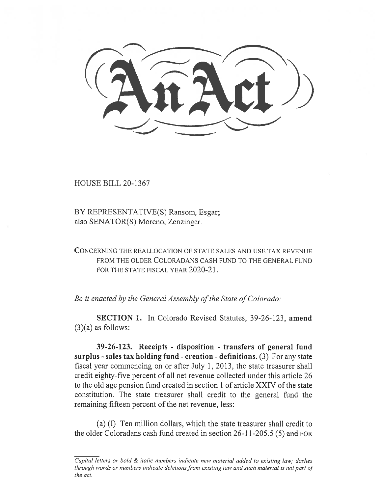$\sqrt{2}$ 

HOUSE BILL 20-1367

BY REPRESENTATIVE(S) Ransom, Esgar; also SENATOR(S) Moreno, Zenzinger.

CONCERNING THE REALLOCATION OF STATE SALES AND USE TAX REVENUE FROM THE OLDER COLORADANS CASH FUND TO THE GENERAL FUND FOR THE STATE FISCAL YEAR 2020-21.

*Be it enacted by the General Assembly of the State of Colorado:* 

**SECTION 1.** In Colorado Revised Statutes, 39-26-123, **amend**   $(3)(a)$  as follows:

**39-26-123. Receipts - disposition - transfers of general fund surplus - sales tax holding fund - creation - definitions.** (3) For any state fiscal year commencing on or after July 1, 2013, the state treasurer shall credit eighty-five percent of all net revenue collected under this article 26 to the old age pension fund created in section 1 of article XXIV of the state constitution. The state treasurer shall credit to the general fund the remaining fifteen percent of the net revenue, less:

(a) (I) Ten million dollars, which the state treasurer shall credit to the older Coloradans cash fund created in section 26-11-205.5 (5) and FOR

*Capital letters or bold & italic numbers indicate new material added to existing law; dashes through words or numbers indicate deletions from existing law and such material is not part of the act.*